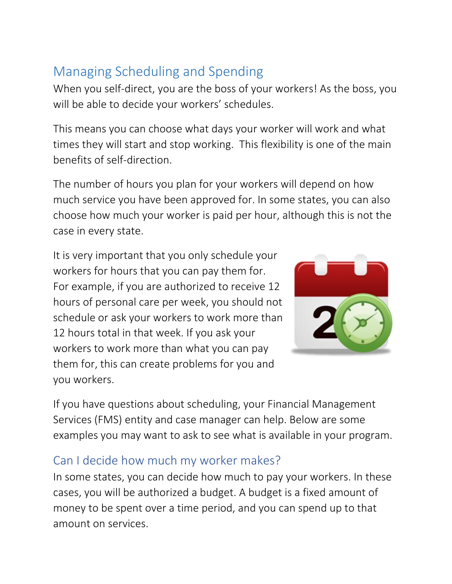## Managing Scheduling and Spending

When you self-direct, you are the boss of your workers! As the boss, you will be able to decide your workers' schedules.

This means you can choose what days your worker will work and what times they will start and stop working. This flexibility is one of the main benefits of self-direction.

The number of hours you plan for your workers will depend on how much service you have been approved for. In some states, you can also choose how much your worker is paid per hour, although this is not the case in every state.

It is very important that you only schedule your workers for hours that you can pay them for. For example, if you are authorized to receive 12 hours of personal care per week, you should not schedule or ask your workers to work more than 12 hours total in that week. If you ask your workers to work more than what you can pay them for, this can create problems for you and you workers.



If you have questions about scheduling, your Financial Management Services (FMS) entity and case manager can help. Below are some examples you may want to ask to see what is available in your program.

## Can I decide how much my worker makes?

In some states, you can decide how much to pay your workers. In these cases, you will be authorized a budget. A budget is a fixed amount of money to be spent over a time period, and you can spend up to that amount on services.